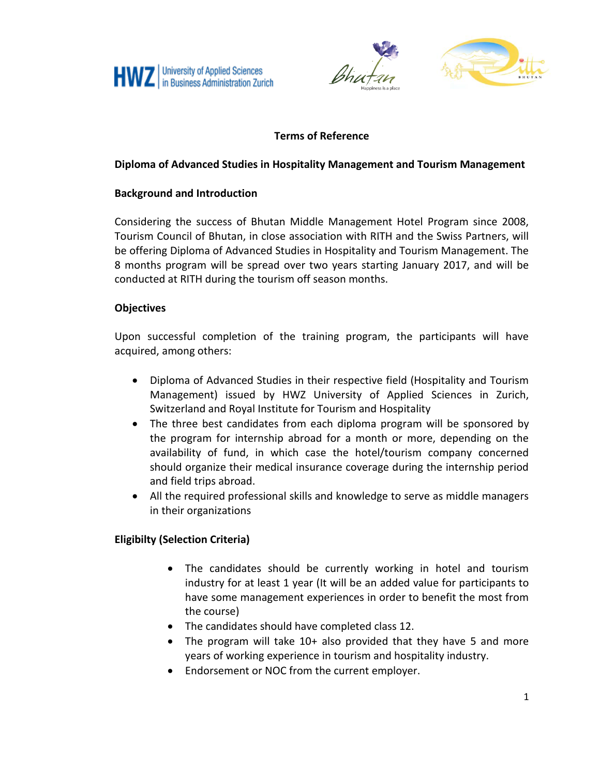



# **Terms of Reference**

### **Diploma of Advanced Studies in Hospitality Management and Tourism Management**

### **Background and Introduction**

Considering the success of Bhutan Middle Management Hotel Program since 2008, Tourism Council of Bhutan, in close association with RITH and the Swiss Partners, will be offering Diploma of Advanced Studies in Hospitality and Tourism Management. The 8 months program will be spread over two years starting January 2017, and will be conducted at RITH during the tourism off season months.

#### **Objectives**

Upon successful completion of the training program, the participants will have acquired, among others:

- Diploma of Advanced Studies in their respective field (Hospitality and Tourism Management) issued by HWZ University of Applied Sciences in Zurich, Switzerland and Royal Institute for Tourism and Hospitality
- The three best candidates from each diploma program will be sponsored by the program for internship abroad for a month or more, depending on the availability of fund, in which case the hotel/tourism company concerned should organize their medical insurance coverage during the internship period and field trips abroad.
- All the required professional skills and knowledge to serve as middle managers in their organizations

## **Eligibilty (Selection Criteria)**

- The candidates should be currently working in hotel and tourism industry for at least 1 year (It will be an added value for participants to have some management experiences in order to benefit the most from the course)
- The candidates should have completed class 12.
- The program will take 10+ also provided that they have 5 and more years of working experience in tourism and hospitality industry.
- Endorsement or NOC from the current employer.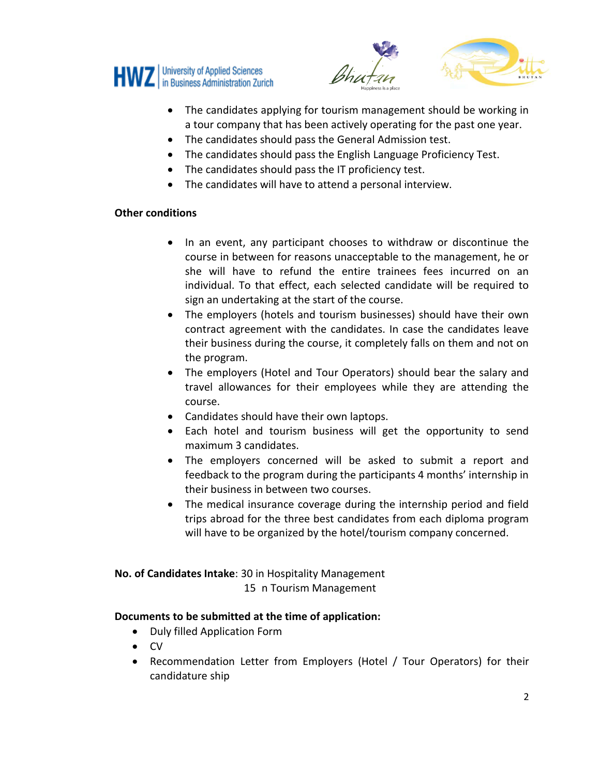





- The candidates applying for tourism management should be working in a tour company that has been actively operating for the past one year.
- The candidates should pass the General Admission test.
- The candidates should pass the English Language Proficiency Test.
- The candidates should pass the IT proficiency test.
- The candidates will have to attend a personal interview.

#### **Other conditions**

- In an event, any participant chooses to withdraw or discontinue the course in between for reasons unacceptable to the management, he or she will have to refund the entire trainees fees incurred on an individual. To that effect, each selected candidate will be required to sign an undertaking at the start of the course.
- The employers (hotels and tourism businesses) should have their own contract agreement with the candidates. In case the candidates leave their business during the course, it completely falls on them and not on the program.
- The employers (Hotel and Tour Operators) should bear the salary and travel allowances for their employees while they are attending the course.
- Candidates should have their own laptops.
- Each hotel and tourism business will get the opportunity to send maximum 3 candidates.
- The employers concerned will be asked to submit a report and feedback to the program during the participants 4 months' internship in their business in between two courses.
- The medical insurance coverage during the internship period and field trips abroad for the three best candidates from each diploma program will have to be organized by the hotel/tourism company concerned.

**No. of Candidates Intake**: 30 in Hospitality Management 15 n Tourism Management

## **Documents to be submitted at the time of application:**

- Duly filled Application Form
- $\bullet$  CV
- Recommendation Letter from Employers (Hotel / Tour Operators) for their candidature ship